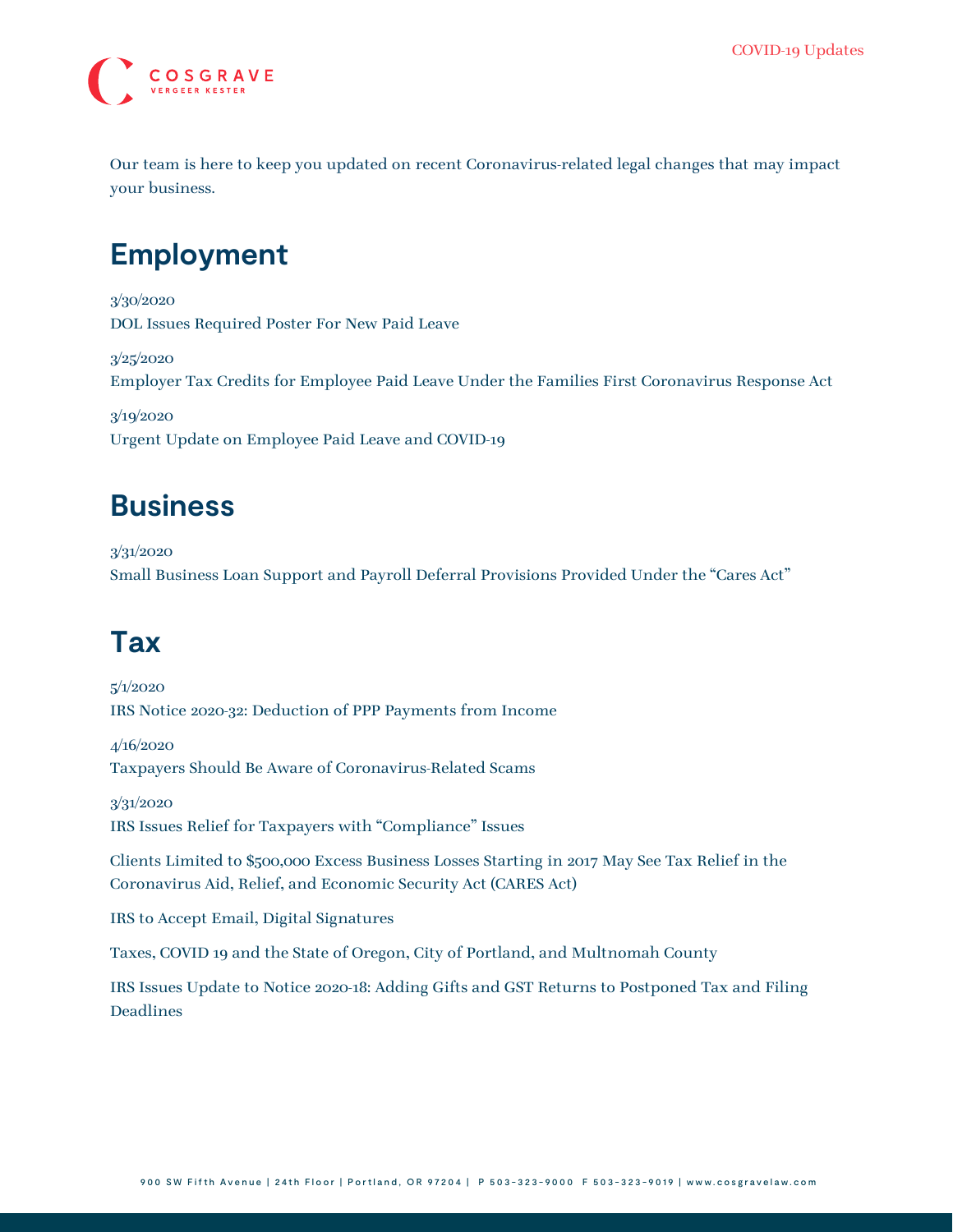

Our team is here to keep you updated on recent Coronavirus-related legal changes that may impact your business.

## **Employment**

3/30/2020 [DOL Issues Required Poster For New Paid Leave](https://www.cosgravelaw.com/announcement/dol-issues-required-poster-for-new-paid-leave-for-covid-19/)

3/25/2020 [Employer Tax Credits for Employee Paid Leave Under the Families First Coronavirus Response Act](https://www.cosgravelaw.com/announcement/employer-tax-credits-for-employee-paid-leave/)

3/19/2020 [Urgent Update on Employee Paid Leave and COVID-19](https://www.cosgravelaw.com/announcement/urgent-update-on-employee-paid-leave-and-covid-19/)

#### **Business**

3/31/2020 [Small Business Loan Support and Payroll Deferral Provisions Provided Under the "Cares Act"](https://www.cosgravelaw.com/announcement/small-business-loan-support-and-payroll-deferral-provisions-provided-under-the-cares-act/)

# **Tax**

5/1/2020 [IRS Notice 2020-32: Deduction of PPP Payments from Income](https://www.cosgravelaw.com/announcement/irs-notice-2020-32-deduction-of-ppp-payments-from-income/)

4/16/2020 [Taxpayers Should Be Aware of Coronavirus-Related Scams](https://www.cosgravelaw.com/announcement/taxpayers-should-be-aware-of-coronavirus-related-scams/)

3/31/2020 [IRS Issues Relief for Taxpayers with "Compliance" Issues](https://www.cosgravelaw.com/announcement/irs-issues-relief-for-taxpayers-with-compliance-issues/)

[Clients Limited to \\$500,000 Excess Business Losses Starting in 2017 May See Tax Relief in the](https://www.cosgravelaw.com/announcement/clients-limited-to-500000-excess-business-losses-starting-in-2017-may-see-tax-relief-in-the-coronavirus-aid-relief-and-economic-security-act-cares-act/) [Coronavirus Aid, Relief, and Economic Security Act \(CARES Act\)](https://www.cosgravelaw.com/announcement/clients-limited-to-500000-excess-business-losses-starting-in-2017-may-see-tax-relief-in-the-coronavirus-aid-relief-and-economic-security-act-cares-act/)

[IRS to Accept Email, Digital Signatures](https://www.cosgravelaw.com/announcement/irs-to-accept-email-digital-signatures/)

[Taxes, COVID 19 and the State of Oregon, City of Portland, and Multnomah County](https://www.cosgravelaw.com/announcement/taxes-covid-19-and-the-state-of-oregon-city-of-portland-and-multnomah-county/)

[IRS Issues Update to Notice 2020-18: Adding Gifts and GST Returns to Postponed Tax and Filing](https://www.cosgravelaw.com/announcement/irs-issues-update-to-notice-2020-18-adding-gifts-and-gst-returns-to-postponed-tax-and-filing-deadlines/) [Deadlines](https://www.cosgravelaw.com/announcement/irs-issues-update-to-notice-2020-18-adding-gifts-and-gst-returns-to-postponed-tax-and-filing-deadlines/)